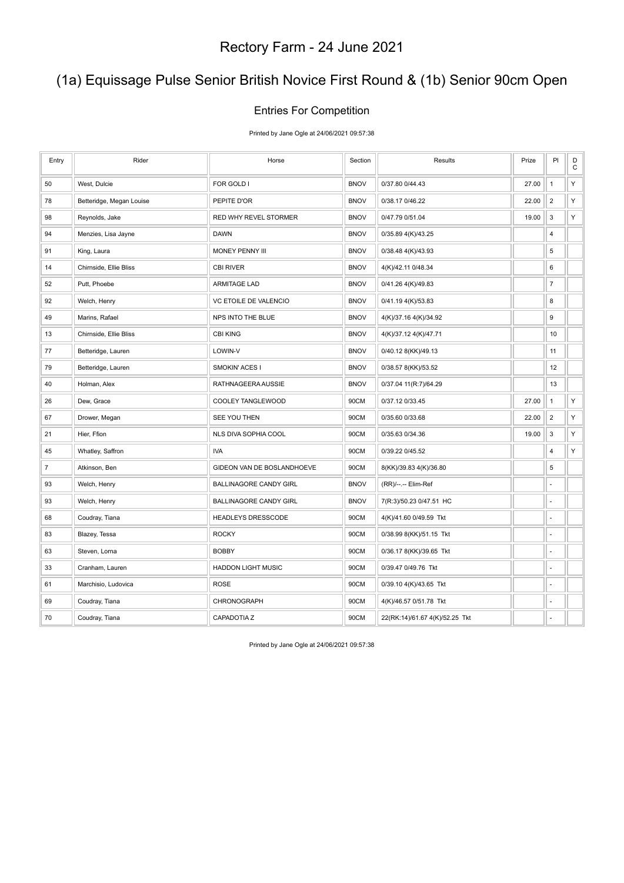# (1a) Equissage Pulse Senior British Novice First Round & (1b) Senior 90cm Open

### Entries For Competition

Printed by Jane Ogle at 24/06/2021 09:57:38

| Entry          | Rider                    | Horse                         | Section     | Results                        | Prize | PI               | D<br>$\mathbf C$ |
|----------------|--------------------------|-------------------------------|-------------|--------------------------------|-------|------------------|------------------|
| 50             | West, Dulcie             | FOR GOLD I                    | <b>BNOV</b> | 0/37.80 0/44.43                | 27.00 | $\mathbf{1}$     | Υ                |
| 78             | Betteridge, Megan Louise | PEPITE D'OR                   | <b>BNOV</b> | 0/38.17 0/46.22                | 22.00 | $\overline{2}$   | Y                |
| 98             | Reynolds, Jake           | RED WHY REVEL STORMER         | <b>BNOV</b> | 0/47.79 0/51.04                | 19.00 | 3                | Υ                |
| 94             | Menzies, Lisa Jayne      | DAWN                          | <b>BNOV</b> | 0/35.89 4(K)/43.25             |       | 4                |                  |
| 91             | King, Laura              | MONEY PENNY III               | <b>BNOV</b> | 0/38.48 4(K)/43.93             |       | 5                |                  |
| 14             | Chirnside, Ellie Bliss   | <b>CBI RIVER</b>              | <b>BNOV</b> | 4(K)/42.11 0/48.34             |       | 6                |                  |
| 52             | Putt, Phoebe             | <b>ARMITAGE LAD</b>           | <b>BNOV</b> | 0/41.26 4(K)/49.83             |       | $\boldsymbol{7}$ |                  |
| 92             | Welch, Henry             | VC ETOILE DE VALENCIO         | <b>BNOV</b> | 0/41.19 4(K)/53.83             |       | 8                |                  |
| 49             | Marins, Rafael           | NPS INTO THE BLUE             | <b>BNOV</b> | 4(K)/37.16 4(K)/34.92          |       | 9                |                  |
| 13             | Chirnside, Ellie Bliss   | <b>CBI KING</b>               | <b>BNOV</b> | 4(K)/37.12 4(K)/47.71          |       | 10               |                  |
| 77             | Betteridge, Lauren       | LOWIN-V                       | <b>BNOV</b> | 0/40.12 8(KK)/49.13            |       | 11               |                  |
| 79             | Betteridge, Lauren       | SMOKIN' ACES I                | <b>BNOV</b> | 0/38.57 8(KK)/53.52            |       | 12               |                  |
| 40             | Holman, Alex             | RATHNAGEERA AUSSIE            | <b>BNOV</b> | 0/37.04 11(R:7)/64.29          |       | 13               |                  |
| 26             | Dew, Grace               | COOLEY TANGLEWOOD             | 90CM        | 0/37.12 0/33.45                | 27.00 | $\mathbf{1}$     | Υ                |
| 67             | Drower, Megan            | SEE YOU THEN                  | 90CM        | 0/35.60 0/33.68                | 22.00 | $\overline{2}$   | Υ                |
| 21             | Hier, Ffion              | NLS DIVA SOPHIA COOL          | 90CM        | 0/35.63 0/34.36                | 19.00 | 3                | Υ                |
| 45             | Whatley, Saffron         | <b>IVA</b>                    | 90CM        | 0/39.22 0/45.52                |       | 4                | Υ                |
| $\overline{7}$ | Atkinson, Ben            | GIDEON VAN DE BOSLANDHOEVE    | 90CM        | 8(KK)/39.83 4(K)/36.80         |       | 5                |                  |
| 93             | Welch, Henry             | <b>BALLINAGORE CANDY GIRL</b> | <b>BNOV</b> | (RR)/--.-- Elim-Ref            |       | ä,               |                  |
| 93             | Welch, Henry             | <b>BALLINAGORE CANDY GIRL</b> | <b>BNOV</b> | 7(R:3)/50.23 0/47.51 HC        |       | ä,               |                  |
| 68             | Coudray, Tiana           | HEADLEYS DRESSCODE            | 90CM        | 4(K)/41.60 0/49.59 Tkt         |       | L,               |                  |
| 83             | Blazey, Tessa            | <b>ROCKY</b>                  | 90CM        | 0/38.99 8(KK)/51.15 Tkt        |       | ä,               |                  |
| 63             | Steven, Lorna            | <b>BOBBY</b>                  | 90CM        | 0/36.17 8(KK)/39.65 Tkt        |       | ä,               |                  |
| 33             | Cranham, Lauren          | <b>HADDON LIGHT MUSIC</b>     | 90CM        | 0/39.47 0/49.76 Tkt            |       | ä,               |                  |
| 61             | Marchisio, Ludovica      | <b>ROSE</b>                   | 90CM        | 0/39.10 4(K)/43.65 Tkt         |       | ä,               |                  |
| 69             | Coudray, Tiana           | CHRONOGRAPH                   | 90CM        | 4(K)/46.57 0/51.78 Tkt         |       |                  |                  |
| 70             | Coudray, Tiana           | CAPADOTIA Z                   | 90CM        | 22(RK:14)/61.67 4(K)/52.25 Tkt |       | ä,               |                  |

Printed by Jane Ogle at 24/06/2021 09:57:38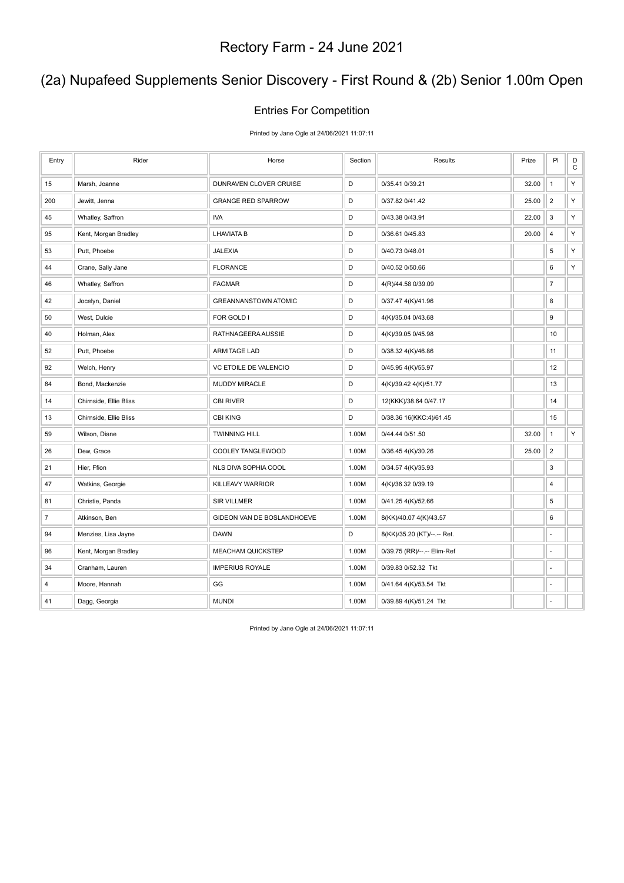# (2a) Nupafeed Supplements Senior Discovery - First Round & (2b) Senior 1.00m Open

### Entries For Competition

Printed by Jane Ogle at 24/06/2021 11:07:11

| Entry          | Rider                  | Horse                       | Section     | Results                     | Prize | PI             | $_{\rm C}^{\rm D}$ |
|----------------|------------------------|-----------------------------|-------------|-----------------------------|-------|----------------|--------------------|
| 15             | Marsh, Joanne          | DUNRAVEN CLOVER CRUISE      | D           | 0/35.41 0/39.21             | 32.00 | $\mathbf{1}$   | Υ                  |
| 200            | Jewitt, Jenna          | <b>GRANGE RED SPARROW</b>   | D           | 0/37.82 0/41.42             | 25.00 | $\overline{2}$ | Υ                  |
| 45             | Whatley, Saffron       | <b>IVA</b>                  | D           | 0/43.38 0/43.91             | 22.00 | $\mathsf 3$    | Υ                  |
| 95             | Kent, Morgan Bradley   | <b>LHAVIATA B</b>           | D           | 0/36.61 0/45.83             | 20.00 | $\overline{4}$ | $\mathsf{Y}$       |
| 53             | Putt, Phoebe           | <b>JALEXIA</b>              | $\mathsf D$ | 0/40.73 0/48.01             |       | 5              | Υ                  |
| 44             | Crane, Sally Jane      | <b>FLORANCE</b>             | D           | 0/40.52 0/50.66             |       | 6              | Υ                  |
| 46             | Whatley, Saffron       | <b>FAGMAR</b>               | D           | 4(R)/44.58 0/39.09          |       | $\overline{7}$ |                    |
| 42             | Jocelyn, Daniel        | <b>GREANNANSTOWN ATOMIC</b> | $\mathsf D$ | 0/37.47 4(K)/41.96          |       | 8              |                    |
| 50             | West, Dulcie           | FOR GOLD I                  | D           | 4(K)/35.04 0/43.68          |       | 9              |                    |
| 40             | Holman, Alex           | RATHNAGEERA AUSSIE          | D           | 4(K)/39.05 0/45.98          |       | 10             |                    |
| 52             | Putt, Phoebe           | <b>ARMITAGE LAD</b>         | D           | 0/38.32 4(K)/46.86          |       | 11             |                    |
| 92             | Welch, Henry           | VC ETOILE DE VALENCIO       | D           | 0/45.95 4(K)/55.97          |       | 12             |                    |
| 84             | Bond, Mackenzie        | MUDDY MIRACLE               | $\mathsf D$ | 4(K)/39.42 4(K)/51.77       |       | 13             |                    |
| 14             | Chirnside, Ellie Bliss | <b>CBI RIVER</b>            | D           | 12(KKK)/38.64 0/47.17       |       | 14             |                    |
| 13             | Chirnside, Ellie Bliss | <b>CBI KING</b>             | D           | 0/38.36 16(KKC:4)/61.45     |       | 15             |                    |
| 59             | Wilson, Diane          | <b>TWINNING HILL</b>        | 1.00M       | 0/44.44 0/51.50             | 32.00 | $\mathbf{1}$   | Υ                  |
| 26             | Dew, Grace             | COOLEY TANGLEWOOD           | 1.00M       | 0/36.45 4(K)/30.26          | 25.00 | $\overline{2}$ |                    |
| 21             | Hier, Ffion            | NLS DIVA SOPHIA COOL        | 1.00M       | 0/34.57 4(K)/35.93          |       | 3              |                    |
| 47             | Watkins, Georgie       | KILLEAVY WARRIOR            | 1.00M       | 4(K)/36.32 0/39.19          |       | 4              |                    |
| 81             | Christie, Panda        | <b>SIR VILLMER</b>          | 1.00M       | 0/41.25 4(K)/52.66          |       | 5              |                    |
| $\overline{7}$ | Atkinson, Ben          | GIDEON VAN DE BOSLANDHOEVE  | 1.00M       | 8(KK)/40.07 4(K)/43.57      |       | 6              |                    |
| 94             | Menzies, Lisa Jayne    | <b>DAWN</b>                 | D           | 8(KK)/35.20 (KT)/--.-- Ret. |       | ÷,             |                    |
| 96             | Kent, Morgan Bradley   | <b>MEACHAM QUICKSTEP</b>    | 1.00M       | 0/39.75 (RR)/--.-- Elim-Ref |       | ä,             |                    |
| 34             | Cranham, Lauren        | <b>IMPERIUS ROYALE</b>      | 1.00M       | 0/39.83 0/52.32 Tkt         |       | ÷,             |                    |
| 4              | Moore, Hannah          | GG                          | 1.00M       | 0/41.64 4(K)/53.54 Tkt      |       | ä,             |                    |
| 41             | Dagg, Georgia          | <b>MUNDI</b>                | 1.00M       | 0/39.89 4(K)/51.24 Tkt      |       | ä,             |                    |

Printed by Jane Ogle at 24/06/2021 11:07:11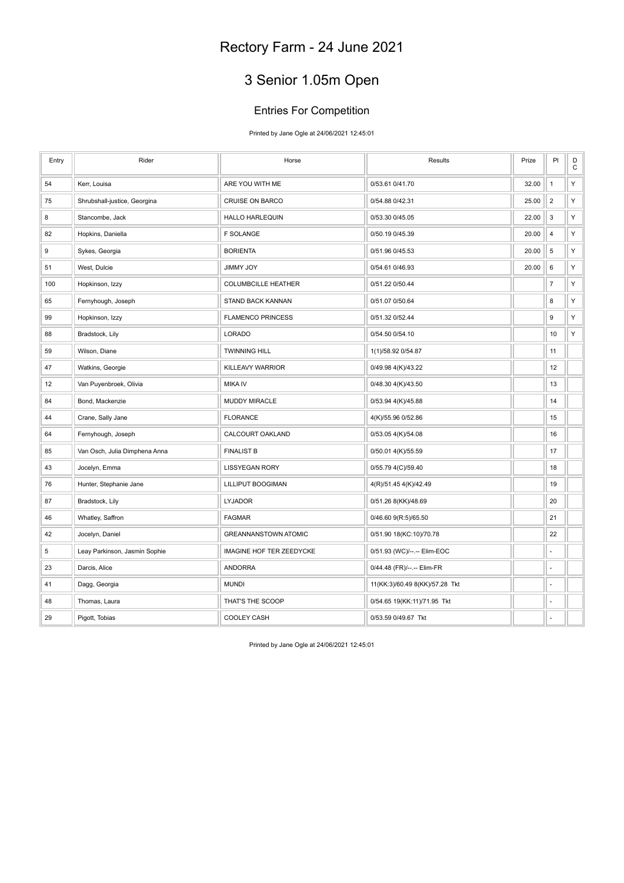# 3 Senior 1.05m Open

### Entries For Competition

Printed by Jane Ogle at 24/06/2021 12:45:01

| Entry | Rider                         | Horse                       | Results                        | Prize | PI             | D<br>$\mathbf C$ |
|-------|-------------------------------|-----------------------------|--------------------------------|-------|----------------|------------------|
| 54    | Kerr, Louisa                  | ARE YOU WITH ME             | 0/53.61 0/41.70                | 32.00 | $\mathbf{1}$   | Υ                |
| 75    | Shrubshall-justice, Georgina  | <b>CRUISE ON BARCO</b>      | 0/54.88 0/42.31                | 25.00 | $\overline{2}$ | Υ                |
| 8     | Stancombe, Jack               | <b>HALLO HARLEQUIN</b>      | 0/53.30 0/45.05                | 22.00 | 3              | Υ                |
| 82    | Hopkins, Daniella             | <b>F SOLANGE</b>            | 0/50.19 0/45.39                | 20.00 | $\overline{4}$ | Υ                |
| 9     | Sykes, Georgia                | <b>BORIENTA</b>             | 0/51.96 0/45.53                | 20.00 | 5              | Υ                |
| 51    | West, Dulcie                  | <b>YOL YMMIL</b>            | 0/54.61 0/46.93                | 20.00 | 6              | Υ                |
| 100   | Hopkinson, Izzy               | <b>COLUMBCILLE HEATHER</b>  | 0/51.22 0/50.44                |       | $\overline{7}$ | Υ                |
| 65    | Fernyhough, Joseph            | STAND BACK KANNAN           | 0/51.07 0/50.64                |       | 8              | Υ                |
| 99    | Hopkinson, Izzy               | <b>FLAMENCO PRINCESS</b>    | 0/51.32 0/52.44                |       | 9              | Υ                |
| 88    | Bradstock, Lily               | LORADO                      | 0/54.50 0/54.10                |       | 10             | Υ                |
| 59    | Wilson, Diane                 | <b>TWINNING HILL</b>        | 1(1)/58.92 0/54.87             |       | 11             |                  |
| 47    | Watkins, Georgie              | KILLEAVY WARRIOR            | 0/49.98 4(K)/43.22             |       | 12             |                  |
| 12    | Van Puyenbroek, Olivia        | <b>MIKA IV</b>              | 0/48.30 4(K)/43.50             |       | 13             |                  |
| 84    | Bond, Mackenzie               | MUDDY MIRACLE               | 0/53.94 4(K)/45.88             |       | 14             |                  |
| 44    | Crane, Sally Jane             | <b>FLORANCE</b>             | 4(K)/55.96 0/52.86             |       | 15             |                  |
| 64    | Fernyhough, Joseph            | CALCOURT OAKLAND            | 0/53.05 4(K)/54.08             |       | 16             |                  |
| 85    | Van Osch, Julia Dimphena Anna | <b>FINALIST B</b>           | 0/50.01 4(K)/55.59             |       | 17             |                  |
| 43    | Jocelyn, Emma                 | <b>LISSYEGAN RORY</b>       | 0/55.79 4(C)/59.40             |       | 18             |                  |
| 76    | Hunter, Stephanie Jane        | LILLIPUT BOOGIMAN           | 4(R)/51.45 4(K)/42.49          |       | 19             |                  |
| 87    | Bradstock, Lily               | <b>LYJADOR</b>              | 0/51.26 8(KK)/48.69            |       | 20             |                  |
| 46    | Whatley, Saffron              | <b>FAGMAR</b>               | 0/46.60 9(R:5)/65.50           |       | 21             |                  |
| 42    | Jocelyn, Daniel               | <b>GREANNANSTOWN ATOMIC</b> | 0/51.90 18(KC:10)/70.78        |       | 22             |                  |
| 5     | Leay Parkinson, Jasmin Sophie | IMAGINE HOF TER ZEEDYCKE    | 0/51.93 (WC)/--.-- Elim-EOC    |       |                |                  |
| 23    | Darcis, Alice                 | <b>ANDORRA</b>              | 0/44.48 (FR)/--.-- Elim-FR     |       | ÷,             |                  |
| 41    | Dagg, Georgia                 | <b>MUNDI</b>                | 11(KK:3)/60.49 8(KK)/57.28 Tkt |       | ÷,             |                  |
| 48    | Thomas, Laura                 | THAT'S THE SCOOP            | 0/54.65 19(KK:11)/71.95 Tkt    |       | ÷.             |                  |
| 29    | Pigott, Tobias                | <b>COOLEY CASH</b>          | 0/53.59 0/49.67 Tkt            |       | ä,             |                  |

Printed by Jane Ogle at 24/06/2021 12:45:01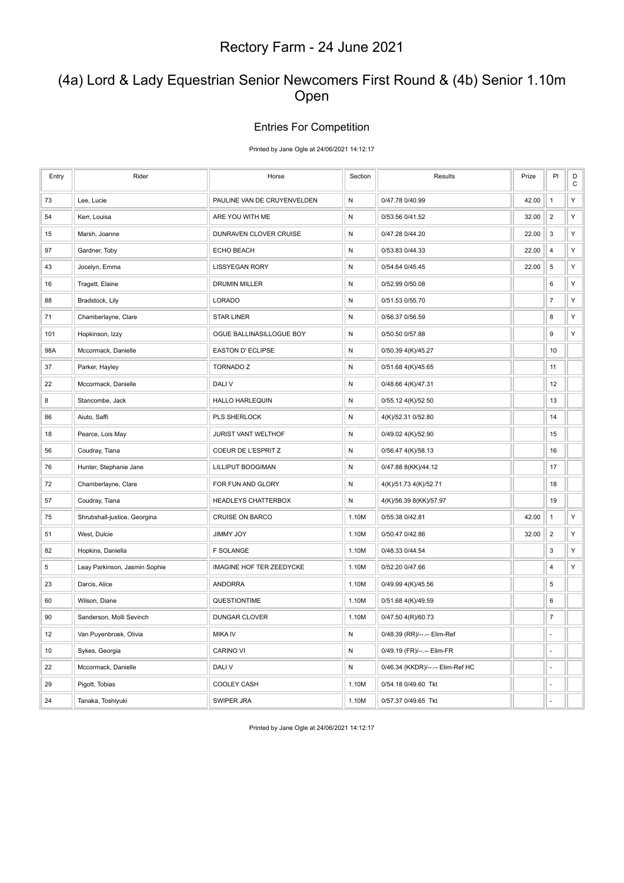### (4a) Lord & Lady Equestrian Senior Newcomers First Round & (4b) Senior 1.10m Open

#### Entries For Competition

Printed by Jane Ogle at 24/06/2021 14:12:17

| Entry | Rider                         | Horse                       | Section      | Results                          | Prize | PI                       | D<br>$\mathsf C$ |
|-------|-------------------------------|-----------------------------|--------------|----------------------------------|-------|--------------------------|------------------|
| 73    | Lee, Lucie                    | PAULINE VAN DE CRUYENVELDEN | N            | 0/47.78 0/40.99                  | 42.00 | $\mathbf{1}$             | Υ                |
| 54    | Kerr, Louisa                  | ARE YOU WITH ME             | ${\sf N}$    | 0/53.56 0/41.52                  | 32.00 | $\overline{2}$           | Υ                |
| 15    | Marsh, Joanne                 | DUNRAVEN CLOVER CRUISE      | ${\sf N}$    | 0/47.28 0/44.20                  | 22.00 | 3                        | Υ                |
| 97    | Gardner, Toby                 | <b>ECHO BEACH</b>           | ${\sf N}$    | 0/53.83 0/44.33                  | 22.00 | $\overline{4}$           | Υ                |
| 43    | Jocelyn, Emma                 | <b>LISSYEGAN RORY</b>       | N            | 0/54.64 0/45.45                  | 22.00 | 5                        | Υ                |
| 16    | Tragett, Elaine               | <b>DRUMIN MILLER</b>        | N            | 0/52.99 0/50.08                  |       | 6                        | Υ                |
| 88    | Bradstock, Lily               | LORADO                      | $\mathsf{N}$ | 0/51.53 0/55.70                  |       | $\boldsymbol{7}$         | Υ                |
| 71    | Chamberlayne, Clare           | <b>STAR LINER</b>           | ${\sf N}$    | 0/56.37 0/56.59                  |       | 8                        | Υ                |
| 101   | Hopkinson, Izzy               | OGUE BALLINASILLOGUE BOY    | N            | 0/50.50 0/57.88                  |       | 9                        | Υ                |
| 98A   | Mccormack, Danielle           | <b>EASTON D' ECLIPSE</b>    | N            | 0/50.39 4(K)/45.27               |       | 10                       |                  |
| 37    | Parker, Hayley                | <b>TORNADO Z</b>            | ${\sf N}$    | 0/51.68 4(K)/45.65               |       | 11                       |                  |
| 22    | Mccormack, Danielle           | DALI V                      | N            | 0/48.66 4(K)/47.31               |       | 12                       |                  |
| 8     | Stancombe, Jack               | <b>HALLO HARLEQUIN</b>      | ${\sf N}$    | 0/55.12 4(K)/52.50               |       | 13                       |                  |
| 86    | Aiuto, Saffi                  | PLS SHERLOCK                | ${\sf N}$    | 4(K)/52.31 0/52.80               |       | 14                       |                  |
| 18    | Pearce, Lois May              | JURIST VANT WELTHOF         | ${\sf N}$    | 0/49.02 4(K)/52.90               |       | 15                       |                  |
| 56    | Coudray, Tiana                | COEUR DE L'ESPRIT Z         | N            | 0/56.47 4(K)/58.13               |       | 16                       |                  |
| 76    | Hunter, Stephanie Jane        | LILLIPUT BOOGIMAN           | ${\sf N}$    | 0/47.88 8(KK)/44.12              |       | 17                       |                  |
| 72    | Chamberlayne, Clare           | FOR FUN AND GLORY           | N            | 4(K)/51.73 4(K)/52.71            |       | 18                       |                  |
| 57    | Coudray, Tiana                | HEADLEYS CHATTERBOX         | N            | 4(K)/56.39 8(KK)/57.97           |       | 19                       |                  |
| 75    | Shrubshall-justice, Georgina  | <b>CRUISE ON BARCO</b>      | 1.10M        | 0/55.38 0/42.81                  | 42.00 | $\mathbf{1}$             | Υ                |
| 51    | West, Dulcie                  | <b>YOL YMMIL</b>            | 1.10M        | 0/50.47 0/42.86                  | 32.00 | $\overline{2}$           | Υ                |
| 82    | Hopkins, Daniella             | <b>F SOLANGE</b>            | 1.10M        | 0/48.33 0/44.54                  |       | 3                        | Υ                |
| 5     | Leay Parkinson, Jasmin Sophie | IMAGINE HOF TER ZEEDYCKE    | 1.10M        | 0/52.20 0/47.66                  |       | $\overline{4}$           | Υ                |
| 23    | Darcis, Alice                 | <b>ANDORRA</b>              | 1.10M        | 0/49.99 4(K)/45.56               |       | 5                        |                  |
| 60    | Wilson, Diane                 | QUESTIONTIME                | 1.10M        | 0/51.68 4(K)/49.59               |       | 6                        |                  |
| 90    | Sanderson, Molli Sevinch      | DUNGAR CLOVER               | 1.10M        | 0/47.50 4(R)/60.73               |       | $\overline{\mathcal{I}}$ |                  |
| 12    | Van Puyenbroek, Olivia        | <b>MIKA IV</b>              | ${\sf N}$    | 0/48.39 (RR)/--.-- Elim-Ref      |       | ä,                       |                  |
| 10    | Sykes, Georgia                | CARINO VI                   | ${\sf N}$    | 0/49.19 (FR)/--.-- Elim-FR       |       |                          |                  |
| 22    | Mccormack, Danielle           | DALI V                      | N            | 0/46.34 (KKDR)/--.-- Elim-Ref HC |       | ä,                       |                  |
| 29    | Pigott, Tobias                | <b>COOLEY CASH</b>          | 1.10M        | 0/54.18 0/49.60 Tkt              |       | ä,                       |                  |
| 24    | Tanaka, Toshiyuki             | <b>SWIPER JRA</b>           | 1.10M        | 0/57.37 0/49.65 Tkt              |       |                          |                  |

Printed by Jane Ogle at 24/06/2021 14:12:17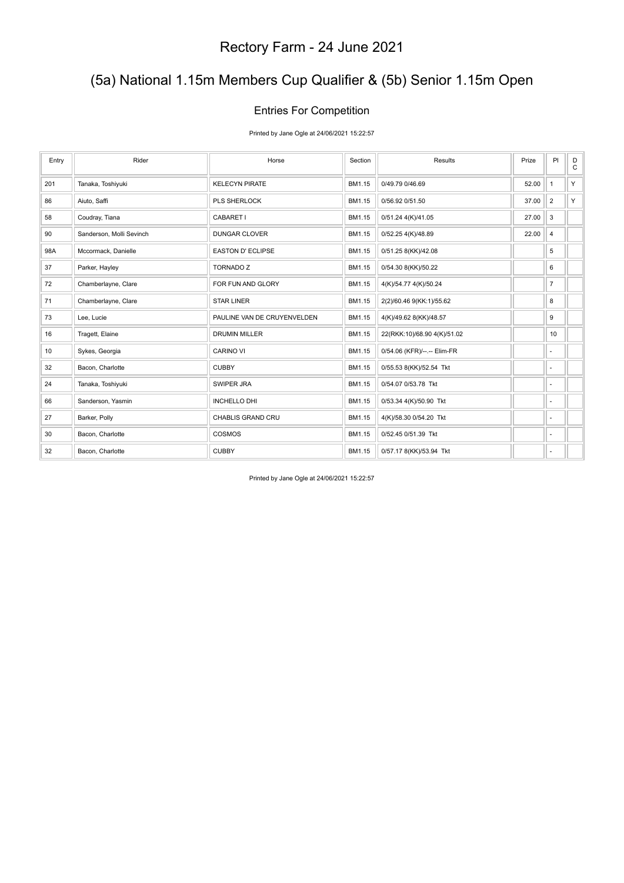# (5a) National 1.15m Members Cup Qualifier & (5b) Senior 1.15m Open

### Entries For Competition

Printed by Jane Ogle at 24/06/2021 15:22:57

| Entry | Rider                    | Horse                       | Section | Results                     | Prize | PI             | D<br>$\mathsf{C}$ |
|-------|--------------------------|-----------------------------|---------|-----------------------------|-------|----------------|-------------------|
| 201   | Tanaka, Toshiyuki        | <b>KELECYN PIRATE</b>       | BM1.15  | 0/49.79 0/46.69             | 52.00 | $\mathbf{1}$   | Y                 |
| 86    | Aiuto, Saffi             | <b>PLS SHERLOCK</b>         | BM1.15  | 0/56.92 0/51.50             | 37.00 | $\overline{2}$ | Y                 |
| 58    | Coudray, Tiana           | CABARET I                   | BM1.15  | 0/51.24 4(K)/41.05          | 27.00 | 3              |                   |
| 90    | Sanderson, Molli Sevinch | <b>DUNGAR CLOVER</b>        | BM1.15  | 0/52.25 4(K)/48.89          | 22.00 | $\overline{4}$ |                   |
| 98A   | Mccormack, Danielle      | <b>EASTON D' ECLIPSE</b>    | BM1.15  | 0/51.25 8(KK)/42.08         |       | 5              |                   |
| 37    | Parker, Hayley           | <b>TORNADO Z</b>            | BM1.15  | 0/54.30 8(KK)/50.22         |       | 6              |                   |
| 72    | Chamberlayne, Clare      | FOR FUN AND GLORY           | BM1.15  | 4(K)/54.77 4(K)/50.24       |       | $\overline{7}$ |                   |
| 71    | Chamberlayne, Clare      | <b>STAR LINER</b>           | BM1.15  | 2(2)/60.46 9(KK:1)/55.62    |       | 8              |                   |
| 73    | Lee, Lucie               | PAULINE VAN DE CRUYENVELDEN | BM1.15  | 4(K)/49.62 8(KK)/48.57      |       | 9              |                   |
| 16    | Tragett, Elaine          | <b>DRUMIN MILLER</b>        | BM1.15  | 22(RKK:10)/68.90 4(K)/51.02 |       | 10             |                   |
| 10    | Sykes, Georgia           | <b>CARINO VI</b>            | BM1.15  | 0/54.06 (KFR)/--.-- Elim-FR |       | ÷.             |                   |
| 32    | Bacon, Charlotte         | <b>CUBBY</b>                | BM1.15  | 0/55.53 8(KK)/52.54 Tkt     |       | $\sim$         |                   |
| 24    | Tanaka, Toshiyuki        | SWIPER JRA                  | BM1.15  | 0/54.07 0/53.78 Tkt         |       | ×.             |                   |
| 66    | Sanderson, Yasmin        | <b>INCHELLO DHI</b>         | BM1.15  | 0/53.34 4(K)/50.90 Tkt      |       | ٠              |                   |
| 27    | Barker, Polly            | CHABLIS GRAND CRU           | BM1.15  | 4(K)/58.30 0/54.20 Tkt      |       | ×.             |                   |
| 30    | Bacon, Charlotte         | <b>COSMOS</b>               | BM1.15  | 0/52.45 0/51.39 Tkt         |       | ٠              |                   |
| 32    | Bacon, Charlotte         | <b>CUBBY</b>                | BM1.15  | 0/57.17 8(KK)/53.94 Tkt     |       | ٠              |                   |

Printed by Jane Ogle at 24/06/2021 15:22:57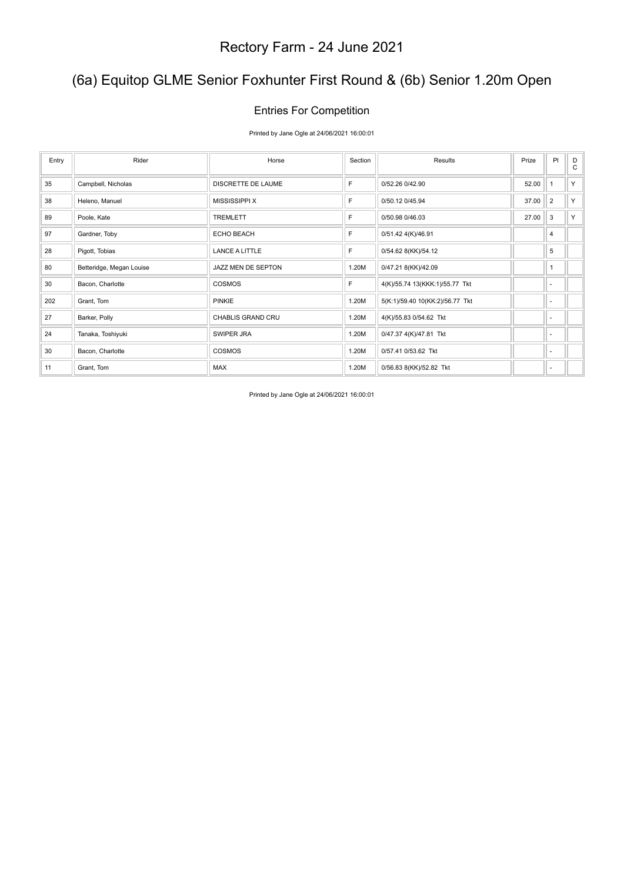# (6a) Equitop GLME Senior Foxhunter First Round & (6b) Senior 1.20m Open

### Entries For Competition

Printed by Jane Ogle at 24/06/2021 16:00:01

| Entry | Rider                    | Horse                 | Section     | Results                         | Prize | PI             | D<br>C |
|-------|--------------------------|-----------------------|-------------|---------------------------------|-------|----------------|--------|
| 35    | Campbell, Nicholas       | DISCRETTE DE LAUME    | F           | 0/52.26 0/42.90                 | 52.00 | $\overline{1}$ | Y      |
| 38    | Heleno, Manuel           | <b>MISSISSIPPI X</b>  | F           | 0/50.12 0/45.94                 | 37.00 | $\overline{2}$ | Y.     |
| 89    | Poole, Kate              | <b>TREMLETT</b>       | F           | 0/50.98 0/46.03                 | 27.00 | 3              | Y.     |
| 97    | Gardner, Toby            | ECHO BEACH            | $\mathsf F$ | 0/51.42 4(K)/46.91              |       | 4              |        |
| 28    | Pigott, Tobias           | <b>LANCE A LITTLE</b> | F           | 0/54.62 8(KK)/54.12             |       | 5              |        |
| 80    | Betteridge, Megan Louise | JAZZ MEN DE SEPTON    | 1.20M       | 0/47.21 8(KK)/42.09             |       | $\overline{1}$ |        |
| 30    | Bacon, Charlotte         | COSMOS                | F           | 4(K)/55.74 13(KKK:1)/55.77 Tkt  |       | ٠              |        |
| 202   | Grant, Tom               | <b>PINKIE</b>         | 1.20M       | 5(K:1)/59.40 10(KK:2)/56.77 Tkt |       | ٠              |        |
| 27    | Barker, Polly            | CHABLIS GRAND CRU     | 1.20M       | 4(K)/55.83 0/54.62 Tkt          |       | ٠              |        |
| 24    | Tanaka, Toshiyuki        | SWIPER JRA            | 1.20M       | 0/47.37 4(K)/47.81 Tkt          |       | ٠              |        |
| 30    | Bacon, Charlotte         | <b>COSMOS</b>         | 1.20M       | 0/57.41 0/53.62 Tkt             |       | ٠              |        |
| 11    | Grant, Tom               | <b>MAX</b>            | 1.20M       | 0/56.83 8(KK)/52.82 Tkt         |       | ٠              |        |

Printed by Jane Ogle at 24/06/2021 16:00:01